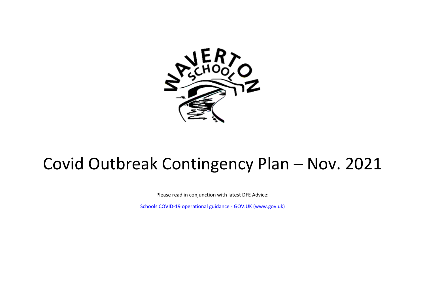

## Covid Outbreak Contingency Plan – Nov. 2021

Please read in conjunction with latest DFE Advice:

[Schools COVID-19 operational guidance -](https://www.gov.uk/government/publications/actions-for-schools-during-the-coronavirus-outbreak/schools-covid-19-operational-guidance) GOV.UK (www.gov.uk)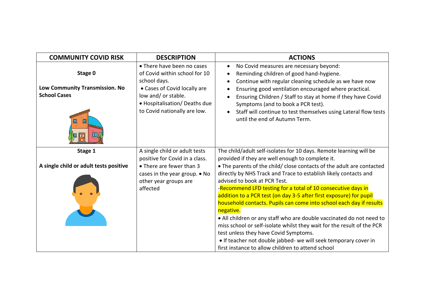| <b>COMMUNITY COVID RISK</b>                                                | <b>DESCRIPTION</b>                                                                                                                                                                                  | <b>ACTIONS</b>                                                                                                                                                                                                                                                                                                                                                                                                                                                                                                                                                                                                                                                                                                         |
|----------------------------------------------------------------------------|-----------------------------------------------------------------------------------------------------------------------------------------------------------------------------------------------------|------------------------------------------------------------------------------------------------------------------------------------------------------------------------------------------------------------------------------------------------------------------------------------------------------------------------------------------------------------------------------------------------------------------------------------------------------------------------------------------------------------------------------------------------------------------------------------------------------------------------------------------------------------------------------------------------------------------------|
| Stage 0<br>Low Community Transmission. No<br><b>School Cases</b><br>皿<br>Щ | • There have been no cases<br>of Covid within school for 10<br>school days.<br>• Cases of Covid locally are<br>low and/ or stable.<br>• Hospitalisation/ Deaths due<br>to Covid nationally are low. | No Covid measures are necessary beyond:<br>$\bullet$<br>Reminding children of good hand-hygiene.<br>$\bullet$<br>Continue with regular cleaning schedule as we have now<br>Ensuring good ventilation encouraged where practical.<br>Ensuring Children / Staff to stay at home if they have Covid<br>Symptoms (and to book a PCR test).<br>Staff will continue to test themselves using Lateral flow tests<br>until the end of Autumn Term.                                                                                                                                                                                                                                                                             |
| Stage 1                                                                    | A single child or adult tests<br>positive for Covid in a class.                                                                                                                                     | The child/adult self-isolates for 10 days. Remote learning will be<br>provided if they are well enough to complete it.                                                                                                                                                                                                                                                                                                                                                                                                                                                                                                                                                                                                 |
| A single child or adult tests positive                                     | • There are fewer than 3<br>cases in the year group. • No<br>other year groups are<br>affected                                                                                                      | . The parents of the child/ close contacts of the adult are contacted<br>directly by NHS Track and Trace to establish likely contacts and<br>advised to book at PCR Test.<br>-Recommend LFD testing for a total of 10 consecutive days in<br>addition to a PCR test (on day 3-5 after first exposure) for pupil<br>household contacts. Pupils can come into school each day if results<br>negative.<br>• All children or any staff who are double vaccinated do not need to<br>miss school or self-isolate whilst they wait for the result of the PCR<br>test unless they have Covid Symptoms.<br>• If teacher not double jabbed- we will seek temporary cover in<br>first instance to allow children to attend school |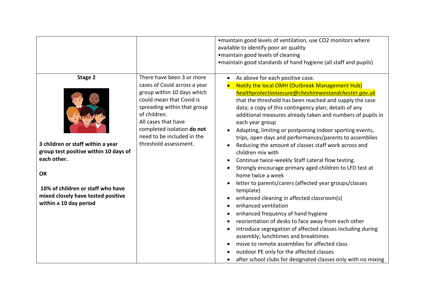|                                                                                                                                                                                                                        |                                                                                                                                                                                                                                                                                | . maintain good levels of ventilation, use CO2 monitors where<br>available to identify poor air quality<br>·maintain good levels of cleaning<br>• maintain good standards of hand hygiene (all staff and pupils)                                                                                                                                                                                                                                                                                                                                                                                                                                                                                                                                                                                                                                                                                                                                                                                                                                                                                                                                                                                     |
|------------------------------------------------------------------------------------------------------------------------------------------------------------------------------------------------------------------------|--------------------------------------------------------------------------------------------------------------------------------------------------------------------------------------------------------------------------------------------------------------------------------|------------------------------------------------------------------------------------------------------------------------------------------------------------------------------------------------------------------------------------------------------------------------------------------------------------------------------------------------------------------------------------------------------------------------------------------------------------------------------------------------------------------------------------------------------------------------------------------------------------------------------------------------------------------------------------------------------------------------------------------------------------------------------------------------------------------------------------------------------------------------------------------------------------------------------------------------------------------------------------------------------------------------------------------------------------------------------------------------------------------------------------------------------------------------------------------------------|
| Stage 2<br>3 children or staff within a year<br>group test positive within 10 days of<br>each other.<br><b>OR</b><br>10% of children or staff who have<br>mixed closely have tested positive<br>within a 10 day period | There have been 3 or more<br>cases of Covid across a year<br>group within 10 days which<br>could mean that Covid is<br>spreading within that group<br>of children.<br>All cases that have<br>completed isolation do not<br>need to be included in the<br>threshold assessment. | As above for each positive case.<br>Notify the local OMH (Outbreak Management Hub)<br>healthprotectionsecure@cheshirewestandchester.gov.uk<br>that the threshold has been reached and supply the case<br>data; a copy of this contingency plan; details of any<br>additional measures already taken and numbers of pupils in<br>each year group<br>Adapting, limiting or postponing indoor sporting events,<br>trips, open days and performances/parents to assemblies<br>Reducing the amount of classes staff work across and<br>children mix with<br>Continue twice-weekly Staff Lateral flow testing.<br>Strongly encourage primary aged children to LFD test at<br>home twice a week<br>letter to parents/carers (affected year groups/classes<br>template)<br>enhanced cleaning in affected classroom(s)<br>enhanced ventilation<br>enhanced frequency of hand hygiene<br>reorientation of desks to face away from each other<br>introduce segregation of affected classes including during<br>assembly; lunchtimes and breaktimes<br>move to remote assemblies for affected class<br>outdoor PE only for the affected classes<br>after school clubs for designated classes only with no mixing |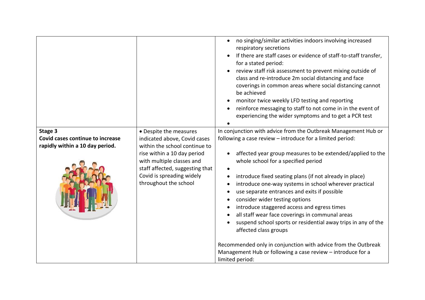|                                                                                |                                                                                                                                                                                                                                              | no singing/similar activities indoors involving increased<br>$\bullet$<br>respiratory secretions<br>If there are staff cases or evidence of staff-to-staff transfer,<br>for a stated period:<br>review staff risk assessment to prevent mixing outside of<br>$\bullet$<br>class and re-introduce 2m social distancing and face<br>coverings in common areas where social distancing cannot<br>be achieved<br>monitor twice weekly LFD testing and reporting<br>reinforce messaging to staff to not come in in the event of<br>experiencing the wider symptoms and to get a PCR test                                                                                                                                                                                                    |
|--------------------------------------------------------------------------------|----------------------------------------------------------------------------------------------------------------------------------------------------------------------------------------------------------------------------------------------|----------------------------------------------------------------------------------------------------------------------------------------------------------------------------------------------------------------------------------------------------------------------------------------------------------------------------------------------------------------------------------------------------------------------------------------------------------------------------------------------------------------------------------------------------------------------------------------------------------------------------------------------------------------------------------------------------------------------------------------------------------------------------------------|
| Stage 3<br>Covid cases continue to increase<br>rapidly within a 10 day period. | • Despite the measures<br>indicated above, Covid cases<br>within the school continue to<br>rise within a 10 day period<br>with multiple classes and<br>staff affected, suggesting that<br>Covid is spreading widely<br>throughout the school | In conjunction with advice from the Outbreak Management Hub or<br>following a case review - introduce for a limited period:<br>affected year group measures to be extended/applied to the<br>whole school for a specified period<br>introduce fixed seating plans (if not already in place)<br>introduce one-way systems in school wherever practical<br>use separate entrances and exits if possible<br>consider wider testing options<br>introduce staggered access and egress times<br>all staff wear face coverings in communal areas<br>suspend school sports or residential away trips in any of the<br>affected class groups<br>Recommended only in conjunction with advice from the Outbreak<br>Management Hub or following a case review - introduce for a<br>limited period: |